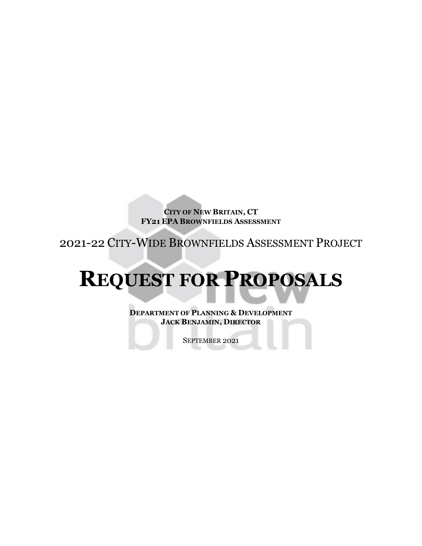**CITY OF NEW BRITAIN, CT FY21 EPA BROWNFIELDS ASSESSMENT**

2021-22 CITY-WIDE BROWNFIELDS ASSESSMENT PROJECT

# **REQUEST FOR PROPOSALS**

**DEPARTMENT OF PLANNING & DEVELOPMENT JACK BENJAMIN, DIRECTOR**

SEPTEMBER 2021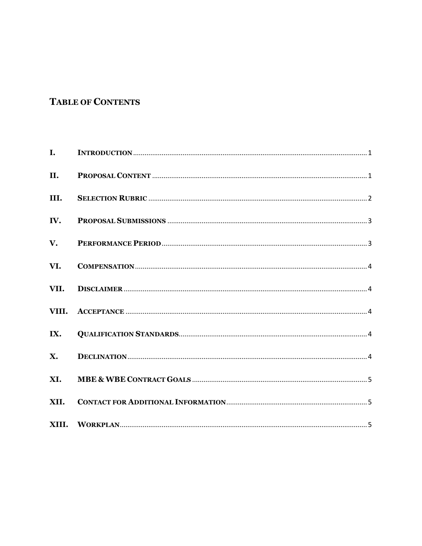# **TABLE OF CONTENTS**

| $\mathbf{I}$ . |  |
|----------------|--|
| II.            |  |
| III.           |  |
| IV.            |  |
| V.             |  |
| VI.            |  |
| VII.           |  |
| VIII.          |  |
| IX.            |  |
| $\mathbf{X}$ . |  |
| XI.            |  |
| XII.           |  |
|                |  |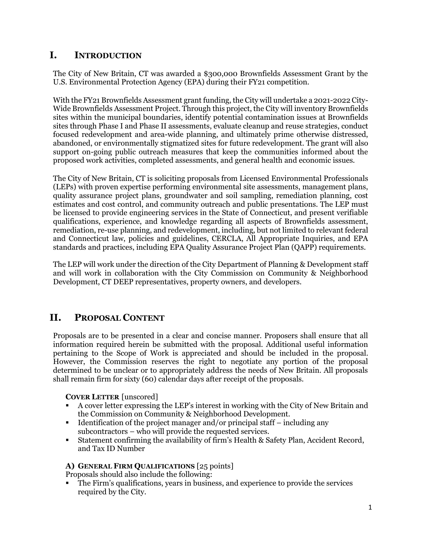# <span id="page-2-0"></span>**I. INTRODUCTION**

The City of New Britain, CT was awarded a \$300,000 Brownfields Assessment Grant by the U.S. Environmental Protection Agency (EPA) during their FY21 competition.

With the FY21 Brownfields Assessment grant funding, the City will undertake a 2021-2022 City-Wide Brownfields Assessment Project. Through this project, the City will inventory Brownfields sites within the municipal boundaries, identify potential contamination issues at Brownfields sites through Phase I and Phase II assessments, evaluate cleanup and reuse strategies, conduct focused redevelopment and area-wide planning, and ultimately prime otherwise distressed, abandoned, or environmentally stigmatized sites for future redevelopment. The grant will also support on-going public outreach measures that keep the communities informed about the proposed work activities, completed assessments, and general health and economic issues.

The City of New Britain, CT is soliciting proposals from Licensed Environmental Professionals (LEPs) with proven expertise performing environmental site assessments, management plans, quality assurance project plans, groundwater and soil sampling, remediation planning, cost estimates and cost control, and community outreach and public presentations. The LEP must be licensed to provide engineering services in the State of Connecticut, and present verifiable qualifications, experience, and knowledge regarding all aspects of Brownfields assessment, remediation, re-use planning, and redevelopment, including, but not limited to relevant federal and Connecticut law, policies and guidelines, CERCLA, All Appropriate Inquiries, and EPA standards and practices, including EPA Quality Assurance Project Plan (QAPP) requirements.

The LEP will work under the direction of the City Department of Planning & Development staff and will work in collaboration with the City Commission on Community & Neighborhood Development, CT DEEP representatives, property owners, and developers.

# <span id="page-2-1"></span>**II. PROPOSAL CONTENT**

Proposals are to be presented in a clear and concise manner. Proposers shall ensure that all information required herein be submitted with the proposal. Additional useful information pertaining to the Scope of Work is appreciated and should be included in the proposal. However, the Commission reserves the right to negotiate any portion of the proposal determined to be unclear or to appropriately address the needs of New Britain. All proposals shall remain firm for sixty (60) calendar days after receipt of the proposals.

#### **COVER LETTER** [unscored]

- A cover letter expressing the LEP's interest in working with the City of New Britain and the Commission on Community & Neighborhood Development.
- Identification of the project manager and/or principal staff  $-$  including any subcontractors – who will provide the requested services.
- Statement confirming the availability of firm's Health & Safety Plan, Accident Record, and Tax ID Number

#### **A) GENERAL FIRM QUALIFICATIONS** [25 points]

Proposals should also include the following:

 The Firm's qualifications, years in business, and experience to provide the services required by the City.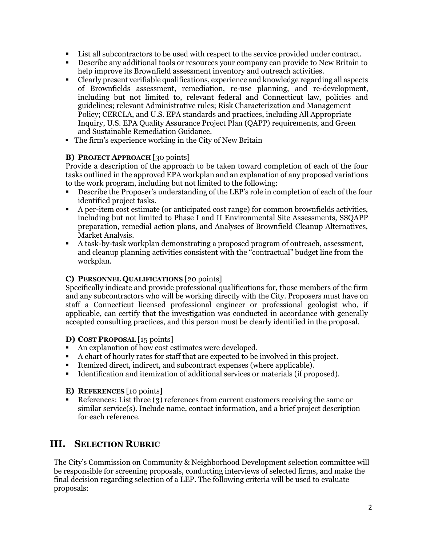- List all subcontractors to be used with respect to the service provided under contract.
- Describe any additional tools or resources your company can provide to New Britain to help improve its Brownfield assessment inventory and outreach activities.
- Clearly present verifiable qualifications, experience and knowledge regarding all aspects of Brownfields assessment, remediation, re-use planning, and re-development, including but not limited to, relevant federal and Connecticut law, policies and guidelines; relevant Administrative rules; Risk Characterization and Management Policy; CERCLA, and U.S. EPA standards and practices, including All Appropriate Inquiry, U.S. EPA Quality Assurance Project Plan (QAPP) requirements, and Green and Sustainable Remediation Guidance.
- The firm's experience working in the City of New Britain

#### **B) PROJECT APPROACH** [30 points]

Provide a description of the approach to be taken toward completion of each of the four tasks outlined in the approved EPA workplan and an explanation of any proposed variations to the work program, including but not limited to the following:

- Describe the Proposer's understanding of the LEP's role in completion of each of the four identified project tasks.
- A per-item cost estimate (or anticipated cost range) for common brownfields activities, including but not limited to Phase I and II Environmental Site Assessments, SSQAPP preparation, remedial action plans, and Analyses of Brownfield Cleanup Alternatives, Market Analysis.
- A task-by-task workplan demonstrating a proposed program of outreach, assessment, and cleanup planning activities consistent with the "contractual" budget line from the workplan.

#### **C) PERSONNEL QUALIFICATIONS** [20 points]

Specifically indicate and provide professional qualifications for, those members of the firm and any subcontractors who will be working directly with the City. Proposers must have on staff a Connecticut licensed professional engineer or professional geologist who, if applicable, can certify that the investigation was conducted in accordance with generally accepted consulting practices, and this person must be clearly identified in the proposal.

#### **D) COST PROPOSAL** [15 points]

- An explanation of how cost estimates were developed.
- A chart of hourly rates for staff that are expected to be involved in this project.
- Itemized direct, indirect, and subcontract expenses (where applicable).
- Identification and itemization of additional services or materials (if proposed).

#### **E) REFERENCES** [10 points]

 References: List three (3) references from current customers receiving the same or similar service(s). Include name, contact information, and a brief project description for each reference.

## <span id="page-3-0"></span>**III. SELECTION RUBRIC**

The City's Commission on Community & Neighborhood Development selection committee will be responsible for screening proposals, conducting interviews of selected firms, and make the final decision regarding selection of a LEP. The following criteria will be used to evaluate proposals: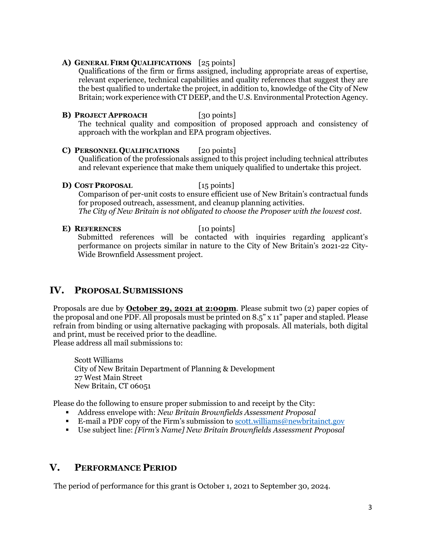#### **A) GENERAL FIRM QUALIFICATIONS** [25 points]

Qualifications of the firm or firms assigned, including appropriate areas of expertise, relevant experience, technical capabilities and quality references that suggest they are the best qualified to undertake the project, in addition to, knowledge of the City of New Britain; work experience with CT DEEP, and the U.S. Environmental Protection Agency.

**B) PROJECT APPROACH** [30 points] The technical quality and composition of proposed approach and consistency of approach with the workplan and EPA program objectives.

#### **C) PERSONNEL QUALIFICATIONS** [20 points] Qualification of the professionals assigned to this project including technical attributes and relevant experience that make them uniquely qualified to undertake this project.

**D) COST PROPOSAL** [15 points]

Comparison of per-unit costs to ensure efficient use of New Britain's contractual funds for proposed outreach, assessment, and cleanup planning activities. *The City of New Britain is not obligated to choose the Proposer with the lowest cost.*

**E) REFERENCES** [10 points] Submitted references will be contacted with inquiries regarding applicant's performance on projects similar in nature to the City of New Britain's 2021-22 City-Wide Brownfield Assessment project.

## <span id="page-4-0"></span>**IV. PROPOSAL SUBMISSIONS**

Proposals are due by **October 29, 2021 at 2:00pm**. Please submit two (2) paper copies of the proposal and one PDF. All proposals must be printed on 8.5" x 11" paper and stapled. Please refrain from binding or using alternative packaging with proposals. All materials, both digital and print, must be received prior to the deadline. Please address all mail submissions to:

Scott Williams City of New Britain Department of Planning & Development 27 West Main Street New Britain, CT 06051

Please do the following to ensure proper submission to and receipt by the City:

- Address envelope with: *New Britain Brownfields Assessment Proposal*
- E-mail a PDF copy of the Firm's submission to [scott.williams@newbritainct.gov](mailto:scott.williams@newbritainct.gov)
- Use subject line: *[Firm's Name] New Britain Brownfields Assessment Proposal*

# <span id="page-4-1"></span>**V. PERFORMANCE PERIOD**

The period of performance for this grant is October 1, 2021 to September 30, 2024.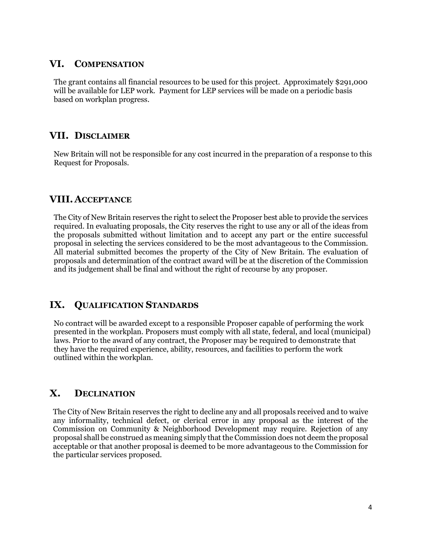### <span id="page-5-0"></span>**VI. COMPENSATION**

The grant contains all financial resources to be used for this project. Approximately \$291,000 will be available for LEP work. Payment for LEP services will be made on a periodic basis based on workplan progress.

## <span id="page-5-1"></span>**VII. DISCLAIMER**

New Britain will not be responsible for any cost incurred in the preparation of a response to this Request for Proposals.

## <span id="page-5-2"></span>**VIII.ACCEPTANCE**

The City of New Britain reserves the right to select the Proposer best able to provide the services required. In evaluating proposals, the City reserves the right to use any or all of the ideas from the proposals submitted without limitation and to accept any part or the entire successful proposal in selecting the services considered to be the most advantageous to the Commission. All material submitted becomes the property of the City of New Britain. The evaluation of proposals and determination of the contract award will be at the discretion of the Commission and its judgement shall be final and without the right of recourse by any proposer.

# <span id="page-5-3"></span>**IX. QUALIFICATION STANDARDS**

No contract will be awarded except to a responsible Proposer capable of performing the work presented in the workplan. Proposers must comply with all state, federal, and local (municipal) laws. Prior to the award of any contract, the Proposer may be required to demonstrate that they have the required experience, ability, resources, and facilities to perform the work outlined within the workplan.

# <span id="page-5-4"></span>**X. DECLINATION**

The City of New Britain reserves the right to decline any and all proposals received and to waive any informality, technical defect, or clerical error in any proposal as the interest of the Commission on Community & Neighborhood Development may require. Rejection of any proposal shall be construed as meaning simply that the Commission does not deem the proposal acceptable or that another proposal is deemed to be more advantageous to the Commission for the particular services proposed.